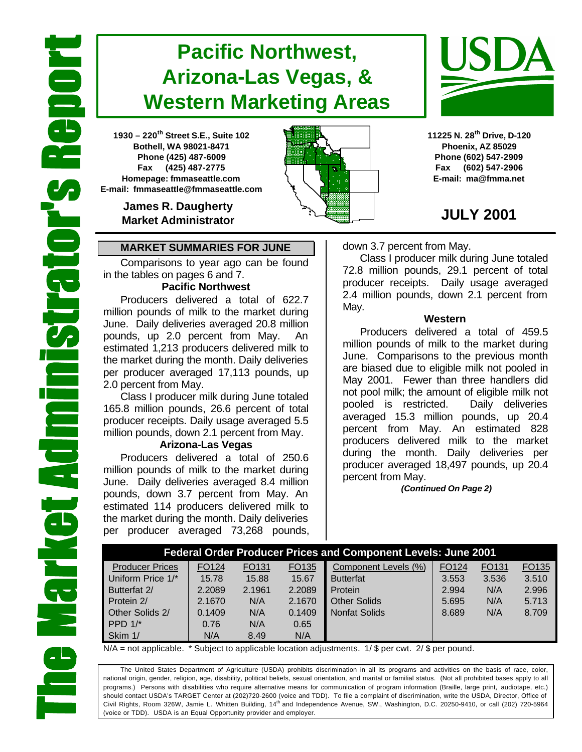# **Pacific Northwest, Arizona-Las Vegas, & Western Marketing Areas**

**1930 – 220th Street S.E., Suite 102 Bothell, WA 98021-8471 Phone (425) 487-6009 Fax (425) 487-2775 Homepage: fmmaseattle.com E-mail: fmmaseattle@fmmaseattle.com**

> **James R. Daugherty Market Administrator**

### **MARKET SUMMARIES FOR JUNE**

Comparisons to year ago can be found in the tables on pages 6 and 7.

### **Pacific Northwest**

Producers delivered a total of 622.7 million pounds of milk to the market during June. Daily deliveries averaged 20.8 million pounds, up 2.0 percent from May. An estimated 1,213 producers delivered milk to the market during the month. Daily deliveries per producer averaged 17,113 pounds, up 2.0 percent from May.

Class I producer milk during June totaled 165.8 million pounds, 26.6 percent of total producer receipts. Daily usage averaged 5.5 million pounds, down 2.1 percent from May.

### **Arizona-Las Vegas**

Producers delivered a total of 250.6 million pounds of milk to the market during June. Daily deliveries averaged 8.4 million pounds, down 3.7 percent from May. An estimated 114 producers delivered milk to the market during the month. Daily deliveries per producer averaged 73,268 pounds,





**11225 N. 28th Drive, D-120 Phoenix, AZ 85029 Phone (602) 547-2909 Fax (602) 547-2906 E-mail: ma@fmma.net**

## **JULY 2001**

down 3.7 percent from May.

Class I producer milk during June totaled 72.8 million pounds, 29.1 percent of total producer receipts. Daily usage averaged 2.4 million pounds, down 2.1 percent from May.

#### **Western**

Producers delivered a total of 459.5 million pounds of milk to the market during June. Comparisons to the previous month are biased due to eligible milk not pooled in May 2001. Fewer than three handlers did not pool milk; the amount of eligible milk not pooled is restricted. Daily deliveries averaged 15.3 million pounds, up 20.4 percent from May. An estimated 828 producers delivered milk to the market during the month. Daily deliveries per producer averaged 18,497 pounds, up 20.4 percent from May.

 *(Continued On Page 2)*

| <b>Federal Order Producer Prices and Component Levels: June 2001</b> |                   |                   |        |                      |       |                   |       |  |  |
|----------------------------------------------------------------------|-------------------|-------------------|--------|----------------------|-------|-------------------|-------|--|--|
| <b>Producer Prices</b>                                               | FO <sub>124</sub> | FO <sub>131</sub> | FO135  | Component Levels (%) | FO124 | FO <sub>131</sub> | FO135 |  |  |
| Uniform Price 1/*                                                    | 15.78             | 15.88             | 15.67  | <b>Butterfat</b>     | 3.553 | 3.536             | 3.510 |  |  |
| Butterfat 2/                                                         | 2.2089            | 2.1961            | 2.2089 | Protein              | 2.994 | N/A               | 2.996 |  |  |
| Protein 2/                                                           | 2.1670            | N/A               | 2.1670 | <b>Other Solids</b>  | 5.695 | N/A               | 5.713 |  |  |
| Other Solids 2/                                                      | 0.1409            | N/A               | 0.1409 | <b>Nonfat Solids</b> | 8.689 | N/A               | 8.709 |  |  |
| PPD $1/*$                                                            | 0.76              | N/A               | 0.65   |                      |       |                   |       |  |  |
| Skim 1/                                                              | N/A               | 8.49              | N/A    |                      |       |                   |       |  |  |

 $N/A$  = not applicable. \* Subject to applicable location adjustments. 1/ \$ per cwt. 2/ \$ per pound.

The United States Department of Agriculture (USDA) prohibits discrimination in all its programs and activities on the basis of race, color, national origin, gender, religion, age, disability, political beliefs, sexual orientation, and marital or familial status. (Not all prohibited bases apply to all programs.) Persons with disabilities who require alternative means for communication of program information (Braille, large print, audiotape, etc.) should contact USDA's TARGET Center at (202)720-2600 (voice and TDD). To file a complaint of discrimination, write the USDA, Director, Office of Civil Rights, Room 326W, Jamie L. Whitten Building, 14<sup>th</sup> and Independence Avenue, SW., Washington, D.C. 20250-9410, or call (202) 720-5964 (voice or TDD). USDA is an Equal Opportunity provider and employer.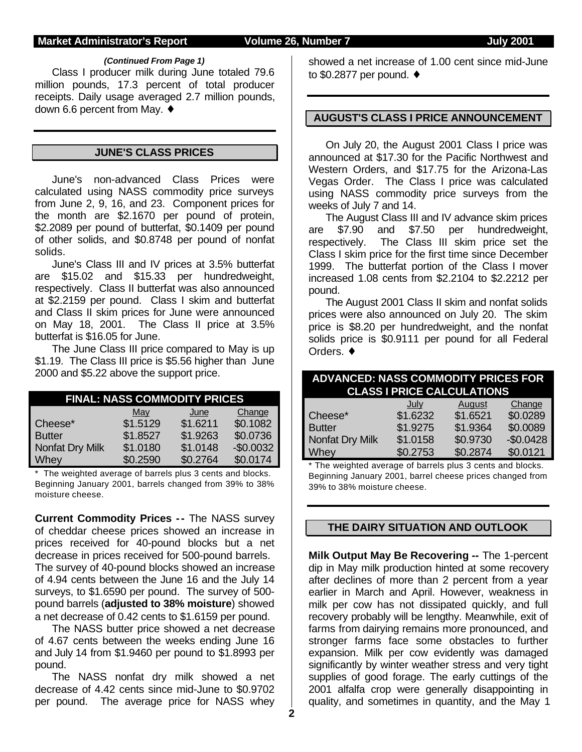#### **Market Administrator's Report Volume 26, Number 7 Server 2001**

#### *(Continued From Page 1)*

Class I producer milk during June totaled 79.6 million pounds, 17.3 percent of total producer receipts. Daily usage averaged 2.7 million pounds, down 6.6 percent from May. ♦

#### **JUNE'S CLASS PRICES**

June's non-advanced Class Prices were calculated using NASS commodity price surveys from June 2, 9, 16, and 23. Component prices for the month are \$2.1670 per pound of protein, \$2.2089 per pound of butterfat, \$0.1409 per pound of other solids, and \$0.8748 per pound of nonfat solids.

June's Class III and IV prices at 3.5% butterfat are \$15.02 and \$15.33 per hundredweight, respectively. Class II butterfat was also announced at \$2.2159 per pound. Class I skim and butterfat and Class II skim prices for June were announced on May 18, 2001. The Class II price at 3.5% butterfat is \$16.05 for June.

The June Class III price compared to May is up \$1.19. The Class III price is \$5.56 higher than June 2000 and \$5.22 above the support price.

| <b>FINAL: NASS COMMODITY PRICES</b> |          |          |            |  |  |  |  |  |
|-------------------------------------|----------|----------|------------|--|--|--|--|--|
| Change<br><u>May</u><br>June        |          |          |            |  |  |  |  |  |
| Cheese*                             | \$1.5129 | \$1.6211 | \$0.1082   |  |  |  |  |  |
| <b>Butter</b>                       | \$1.8527 | \$1.9263 | \$0.0736   |  |  |  |  |  |
| Nonfat Dry Milk                     | \$1.0180 | \$1.0148 | $-$0.0032$ |  |  |  |  |  |
| Whey                                | \$0.2590 | \$0.2764 | \$0.0174   |  |  |  |  |  |

\* The weighted average of barrels plus 3 cents and blocks. Beginning January 2001, barrels changed from 39% to 38% moisture cheese.

**Current Commodity Prices -- The NASS survey** of cheddar cheese prices showed an increase in prices received for 40-pound blocks but a net decrease in prices received for 500-pound barrels. The survey of 40-pound blocks showed an increase of 4.94 cents between the June 16 and the July 14 surveys, to \$1.6590 per pound. The survey of 500 pound barrels (**adjusted to 38% moisture**) showed a net decrease of 0.42 cents to \$1.6159 per pound.

The NASS butter price showed a net decrease of 4.67 cents between the weeks ending June 16 and July 14 from \$1.9460 per pound to \$1.8993 per pound.

The NASS nonfat dry milk showed a net decrease of 4.42 cents since mid-June to \$0.9702 per pound. The average price for NASS whey showed a net increase of 1.00 cent since mid-June to \$0.2877 per pound. ♦

#### **AUGUST'S CLASS I PRICE ANNOUNCEMENT**

On July 20, the August 2001 Class I price was announced at \$17.30 for the Pacific Northwest and Western Orders, and \$17.75 for the Arizona-Las Vegas Order. The Class I price was calculated using NASS commodity price surveys from the weeks of July 7 and 14.

The August Class III and IV advance skim prices are \$7.90 and \$7.50 per hundredweight, respectively. The Class III skim price set the Class I skim price for the first time since December 1999. The butterfat portion of the Class I mover increased 1.08 cents from \$2.2104 to \$2.2212 per pound.

The August 2001 Class II skim and nonfat solids prices were also announced on July 20. The skim price is \$8.20 per hundredweight, and the nonfat solids price is \$0.9111 per pound for all Federal Orders. ♦

| <b>ADVANCED: NASS COMMODITY PRICES FOR</b><br><b>CLASS I PRICE CALCULATIONS</b> |             |               |            |  |  |  |  |
|---------------------------------------------------------------------------------|-------------|---------------|------------|--|--|--|--|
|                                                                                 | <u>July</u> | <b>August</b> | Change     |  |  |  |  |
| Cheese*                                                                         | \$1.6232    | \$1.6521      | \$0.0289   |  |  |  |  |
| <b>Butter</b>                                                                   | \$1.9275    | \$1.9364      | \$0.0089   |  |  |  |  |
| Nonfat Dry Milk                                                                 | \$1.0158    | \$0.9730      | $-$0.0428$ |  |  |  |  |
| Whey                                                                            | \$0.2753    | \$0.2874      | \$0.0121   |  |  |  |  |

\* The weighted average of barrels plus 3 cents and blocks. Beginning January 2001, barrel cheese prices changed from 39% to 38% moisture cheese.

### **THE DAIRY SITUATION AND OUTLOOK**

**Milk Output May Be Recovering --** The 1-percent dip in May milk production hinted at some recovery after declines of more than 2 percent from a year earlier in March and April. However, weakness in milk per cow has not dissipated quickly, and full recovery probably will be lengthy. Meanwhile, exit of farms from dairying remains more pronounced, and stronger farms face some obstacles to further expansion. Milk per cow evidently was damaged significantly by winter weather stress and very tight supplies of good forage. The early cuttings of the 2001 alfalfa crop were generally disappointing in quality, and sometimes in quantity, and the May 1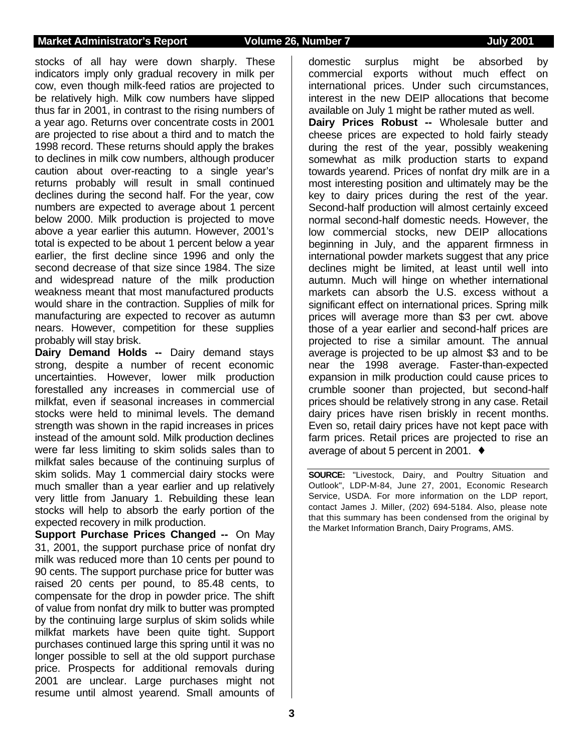#### **Market Administrator's Report Volume 26, Number 7 July 2001**

stocks of all hay were down sharply. These indicators imply only gradual recovery in milk per cow, even though milk-feed ratios are projected to be relatively high. Milk cow numbers have slipped thus far in 2001, in contrast to the rising numbers of a year ago. Returns over concentrate costs in 2001 are projected to rise about a third and to match the 1998 record. These returns should apply the brakes to declines in milk cow numbers, although producer caution about over-reacting to a single year's returns probably will result in small continued declines during the second half. For the year, cow numbers are expected to average about 1 percent below 2000. Milk production is projected to move above a year earlier this autumn. However, 2001's total is expected to be about 1 percent below a year earlier, the first decline since 1996 and only the second decrease of that size since 1984. The size and widespread nature of the milk production weakness meant that most manufactured products would share in the contraction. Supplies of milk for manufacturing are expected to recover as autumn nears. However, competition for these supplies probably will stay brisk.

**Dairy Demand Holds --** Dairy demand stays strong, despite a number of recent economic uncertainties. However, lower milk production forestalled any increases in commercial use of milkfat, even if seasonal increases in commercial stocks were held to minimal levels. The demand strength was shown in the rapid increases in prices instead of the amount sold. Milk production declines were far less limiting to skim solids sales than to milkfat sales because of the continuing surplus of skim solids. May 1 commercial dairy stocks were much smaller than a year earlier and up relatively very little from January 1. Rebuilding these lean stocks will help to absorb the early portion of the expected recovery in milk production.

**Support Purchase Prices Changed --** On May 31, 2001, the support purchase price of nonfat dry milk was reduced more than 10 cents per pound to 90 cents. The support purchase price for butter was raised 20 cents per pound, to 85.48 cents, to compensate for the drop in powder price. The shift of value from nonfat dry milk to butter was prompted by the continuing large surplus of skim solids while milkfat markets have been quite tight. Support purchases continued large this spring until it was no longer possible to sell at the old support purchase price. Prospects for additional removals during 2001 are unclear. Large purchases might not resume until almost yearend. Small amounts of

commercial exports without much effect on international prices. Under such circumstances, interest in the new DEIP allocations that become available on July 1 might be rather muted as well. **Dairy Prices Robust --** Wholesale butter and cheese prices are expected to hold fairly steady during the rest of the year, possibly weakening somewhat as milk production starts to expand towards yearend. Prices of nonfat dry milk are in a most interesting position and ultimately may be the key to dairy prices during the rest of the year. Second-half production will almost certainly exceed normal second-half domestic needs. However, the low commercial stocks, new DEIP allocations beginning in July, and the apparent firmness in international powder markets suggest that any price declines might be limited, at least until well into autumn. Much will hinge on whether international markets can absorb the U.S. excess without a significant effect on international prices. Spring milk prices will average more than \$3 per cwt. above those of a year earlier and second-half prices are projected to rise a similar amount. The annual average is projected to be up almost \$3 and to be near the 1998 average. Faster-than-expected expansion in milk production could cause prices to crumble sooner than projected, but second-half prices should be relatively strong in any case. Retail dairy prices have risen briskly in recent months. Even so, retail dairy prices have not kept pace with farm prices. Retail prices are projected to rise an average of about 5 percent in 2001. ♦

domestic surplus might be absorbed by

**SOURCE:** "Livestock, Dairy, and Poultry Situation and Outlook", LDP-M-84, June 27, 2001, Economic Research Service, USDA. For more information on the LDP report, contact James J. Miller, (202) 694-5184. Also, please note that this summary has been condensed from the original by the Market Information Branch, Dairy Programs, AMS.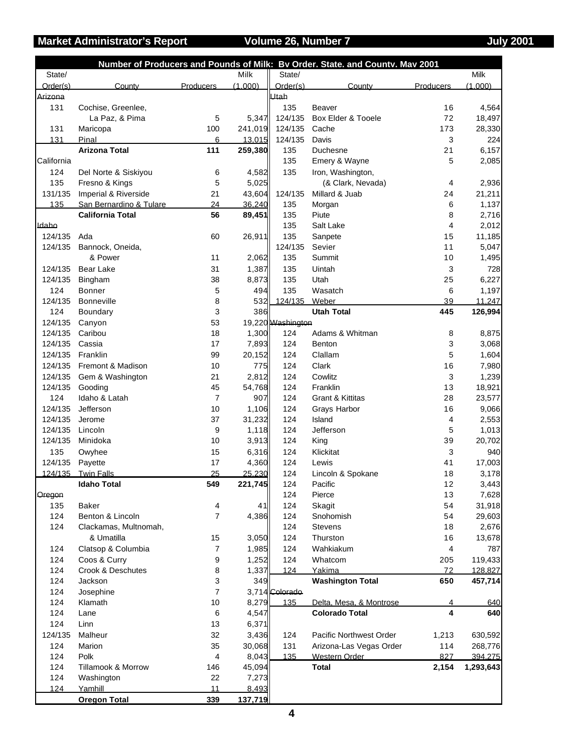## **Market Administrator's Report Colume 26, Number 7 Analy 2001** July 2001

|            |                         |                  |         |                   | Number of Producers and Pounds of Milk: Bv Order. State. and Countv. Mav 2001 |                          |           |
|------------|-------------------------|------------------|---------|-------------------|-------------------------------------------------------------------------------|--------------------------|-----------|
| State/     |                         |                  | Milk    | State/            |                                                                               |                          | Milk      |
| Order(s)   | County                  | <b>Producers</b> | (1.000) | Order(s)          | County                                                                        | Producers                | (1.000)   |
| Arizona    |                         |                  |         | Utah              |                                                                               |                          |           |
| 131        | Cochise, Greenlee,      |                  |         | 135               | Beaver                                                                        | 16                       | 4,564     |
|            | La Paz, & Pima          | 5                | 5,347   | 124/135           | Box Elder & Tooele                                                            | 72                       | 18,497    |
| 131        | Maricopa                | 100              | 241,019 | 124/135           | Cache                                                                         | 173                      | 28,330    |
| 131        | Pinal                   | 6                | 13,015  | 124/135           | Davis                                                                         | 3                        | 224       |
|            | <b>Arizona Total</b>    | 111              | 259,380 | 135               | Duchesne                                                                      | 21                       | 6,157     |
| California |                         |                  |         | 135               | Emery & Wayne                                                                 | 5                        | 2,085     |
| 124        | Del Norte & Siskiyou    | 6                | 4,582   | 135               | Iron, Washington,                                                             |                          |           |
| 135        | Fresno & Kings          | 5                | 5,025   |                   | (& Clark, Nevada)                                                             | 4                        | 2,936     |
| 131/135    | Imperial & Riverside    | 21               | 43,604  | 124/135           | Millard & Juab                                                                | 24                       | 21,211    |
| 135        | San Bernardino & Tulare | 24               | 36,240  | 135               | Morgan                                                                        | 6                        | 1,137     |
|            | <b>California Total</b> | 56               | 89,451  | 135               | Piute                                                                         | 8                        | 2,716     |
| Idaho      |                         |                  |         | 135               | Salt Lake                                                                     | $\overline{4}$           | 2,012     |
| 124/135    | Ada                     | 60               | 26,911  | 135               | Sanpete                                                                       | 15                       | 11,185    |
| 124/135    | Bannock, Oneida,        |                  |         | 124/135           | Sevier                                                                        | 11                       | 5,047     |
|            | & Power                 | 11               | 2,062   | 135               | Summit                                                                        | 10                       | 1,495     |
| 124/135    | <b>Bear Lake</b>        | 31               | 1,387   | 135               | Uintah                                                                        | 3                        | 728       |
| 124/135    | Bingham                 | 38               | 8,873   | 135               | Utah                                                                          | 25                       | 6,227     |
| 124        | Bonner                  | 5                | 494     | 135               | Wasatch                                                                       | 6                        | 1,197     |
| 124/135    | Bonneville              | 8                | 532     | 124/135           | Weber                                                                         | 39                       | 11,247    |
|            |                         |                  |         |                   |                                                                               |                          |           |
| 124        | Boundary                | 3                | 386     |                   | <b>Utah Total</b>                                                             | 445                      | 126,994   |
| 124/135    | Canyon                  | 53               |         | 19,220 Washington |                                                                               |                          |           |
| 124/135    | Caribou                 | 18               | 1,300   | 124               | Adams & Whitman                                                               | 8                        | 8,875     |
| 124/135    | Cassia                  | 17               | 7,893   | 124               | Benton                                                                        | 3                        | 3,068     |
| 124/135    | Franklin                | 99               | 20,152  | 124               | Clallam                                                                       | 5                        | 1,604     |
| 124/135    | Fremont & Madison       | 10               | 775     | 124               | Clark                                                                         | 16                       | 7,980     |
| 124/135    | Gem & Washington        | 21               | 2,812   | 124               | Cowlitz                                                                       | 3                        | 1,239     |
| 124/135    | Gooding                 | 45               | 54,768  | 124               | Franklin                                                                      | 13                       | 18,921    |
| 124        | Idaho & Latah           | $\overline{7}$   | 907     | 124               | Grant & Kittitas                                                              | 28                       | 23,577    |
| 124/135    | Jefferson               | 10               | 1,106   | 124               | Grays Harbor                                                                  | 16                       | 9,066     |
| 124/135    | Jerome                  | 37               | 31,232  | 124               | Island                                                                        | 4                        | 2,553     |
| 124/135    | Lincoln                 | 9                | 1,118   | 124               | Jefferson                                                                     | 5                        | 1,013     |
| 124/135    | Minidoka                | 10               | 3,913   | 124               | King                                                                          | 39                       | 20,702    |
| 135        | Owyhee                  | 15               | 6,316   | 124               | Klickitat                                                                     | 3                        | 940       |
| 124/135    | Payette                 | 17               | 4,360   | 124               | Lewis                                                                         | 41                       | 17,003    |
|            | 124/135 Twin Falls      | 25               | 25.230  | 124               | Lincoln & Spokane                                                             | 18                       | 3,178     |
|            | <b>Idaho Total</b>      | 549              | 221,745 | 124               | Pacific                                                                       | 12                       | 3,443     |
| Oregon     |                         |                  |         | 124               | Pierce                                                                        | 13                       | 7,628     |
| 135        | <b>Baker</b>            | 4                | 41      | 124               | Skagit                                                                        | 54                       | 31,918    |
| 124        | Benton & Lincoln        | $\overline{7}$   | 4,386   | 124               | Snohomish                                                                     | 54                       | 29,603    |
| 124        | Clackamas, Multnomah,   |                  |         | 124               | <b>Stevens</b>                                                                | 18                       | 2,676     |
|            | & Umatilla              | 15               | 3,050   | 124               | Thurston                                                                      | 16                       | 13,678    |
| 124        | Clatsop & Columbia      | 7                | 1,985   | 124               | Wahkiakum                                                                     | $\overline{\mathcal{A}}$ | 787       |
| 124        | Coos & Curry            | 9                | 1,252   | 124               | Whatcom                                                                       | 205                      | 119,433   |
| 124        | Crook & Deschutes       | 8                | 1,337   | 124               | Yakima                                                                        | 72                       | 128,827   |
| 124        | Jackson                 | 3                | 349     |                   | <b>Washington Total</b>                                                       | 650                      | 457,714   |
|            |                         |                  |         |                   |                                                                               |                          |           |
| 124        | Josephine               | $\overline{7}$   |         | 3,714 Colorado    |                                                                               |                          |           |
| 124        | Klamath                 | 10               | 8,279   | 135               | Delta, Mesa, & Montrose                                                       | 4                        | 640       |
| 124        | Lane                    | 6                | 4,547   |                   | <b>Colorado Total</b>                                                         | 4                        | 640       |
| 124        | Linn                    | 13               | 6,371   |                   |                                                                               |                          |           |
| 124/135    | Malheur                 | 32               | 3,436   | 124               | Pacific Northwest Order                                                       | 1,213                    | 630,592   |
| 124        | Marion                  | 35               | 30,068  | 131               | Arizona-Las Vegas Order                                                       | 114                      | 268,776   |
| 124        | Polk                    | 4                | 8,043   | 135               | Western Order                                                                 | 827                      | 394.275   |
| 124        | Tillamook & Morrow      | 146              | 45,094  |                   | <b>Total</b>                                                                  | 2,154                    | 1,293,643 |
| 124        | Washington              | 22               | 7,273   |                   |                                                                               |                          |           |
| 124        | Yamhill                 | 11               | 8,493   |                   |                                                                               |                          |           |
|            | <b>Oregon Total</b>     | 339              | 137,719 |                   |                                                                               |                          |           |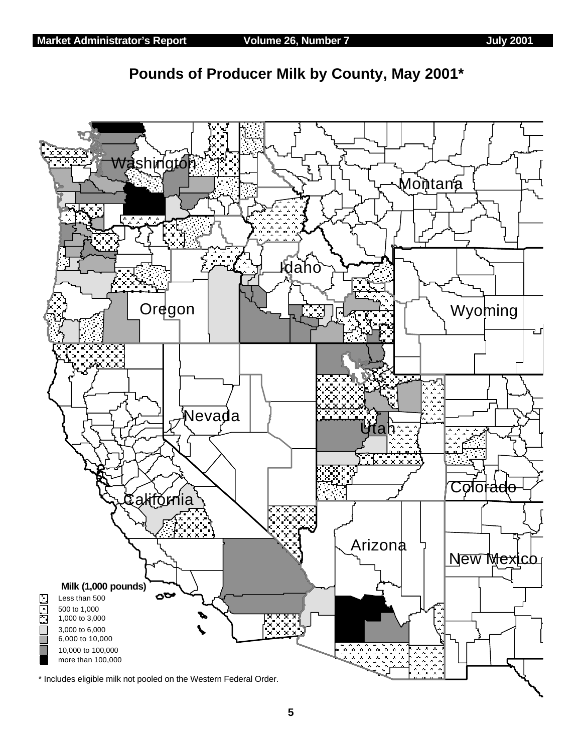

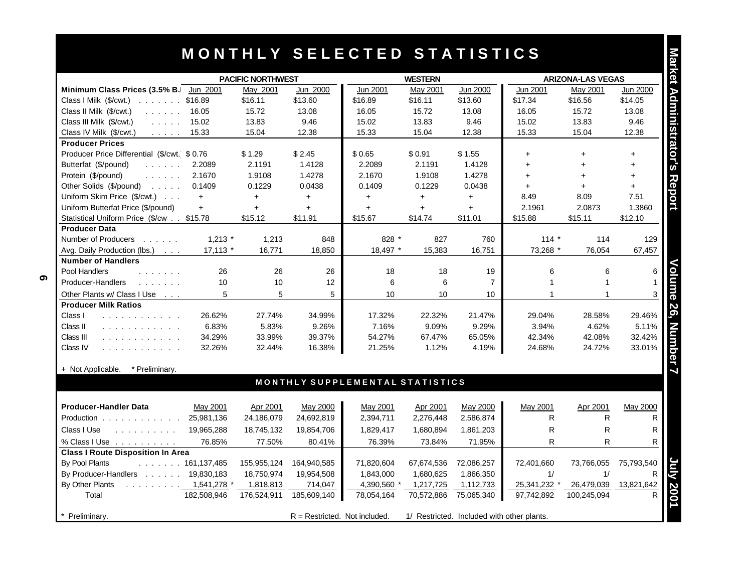## **M O N T H L Y S E L E C T E D S T A T I S T I C S**

|                                                                      |             |             |             | MONTHLY SELECTED STATISTICS     |                |                 |                          |              |                 |
|----------------------------------------------------------------------|-------------|-------------|-------------|---------------------------------|----------------|-----------------|--------------------------|--------------|-----------------|
| <b>PACIFIC NORTHWEST</b>                                             |             |             |             |                                 | <b>WESTERN</b> |                 | <b>ARIZONA-LAS VEGAS</b> |              |                 |
| Minimum Class Prices (3.5% B.                                        | Jun 2001    | May 2001    | Jun 2000    | <b>Jun 2001</b>                 | May 2001       | <b>Jun 2000</b> | <b>Jun 2001</b>          | May 2001     | <b>Jun 2000</b> |
| Class I Milk (\$/cwt.)<br>$ \t \t316.89$                             |             | \$16.11     | \$13.60     | \$16.89                         | \$16.11        | \$13.60         | \$17.34                  | \$16.56      | \$14.05         |
| Class II Milk (\$/cwt.)<br>and a straight                            | 16.05       | 15.72       | 13.08       | 16.05                           | 15.72          | 13.08           | 16.05                    | 15.72        | 13.08           |
| Class III Milk (\$/cwt.)<br>$\mathbb{Z}^2$ . The same $\mathbb{Z}^2$ | 15.02       | 13.83       | 9.46        | 15.02                           | 13.83          | 9.46            | 15.02                    | 13.83        | 9.46            |
| Class IV Milk (\$/cwt.)<br>$\alpha$ , $\alpha$ , $\alpha$ , $\alpha$ | 15.33       | 15.04       | 12.38       | 15.33                           | 15.04          | 12.38           | 15.33                    | 15.04        | 12.38           |
| <b>Producer Prices</b>                                               |             |             |             |                                 |                |                 |                          |              |                 |
| Producer Price Differential (\$/cwt. \$ 0.76                         |             | \$1.29      | \$2.45      | \$0.65                          | \$0.91         | \$1.55          | $+$                      | $+$          | $\ddot{}$       |
| Butterfat (\$/pound)<br>1.1.1.1.1                                    | 2.2089      | 2.1191      | 1.4128      | 2.2089                          | 2.1191         | 1.4128          | $+$                      | $+$          | $+$             |
| Protein (\$/pound)<br>and a straight                                 | 2.1670      | 1.9108      | 1.4278      | 2.1670                          | 1.9108         | 1.4278          | $+$                      | $+$          | $+$             |
| Other Solids (\$/pound)<br>$\sim$ 100 $\sim$ 100 $\sim$              | 0.1409      | 0.1229      | 0.0438      | 0.1409                          | 0.1229         | 0.0438          | $+$                      | $+$          | $+$             |
| Uniform Skim Price (\$/cwt.)                                         | $+$         | $\ddot{}$   | $+$         | $+$                             | $\ddot{}$      | $\ddot{}$       | 8.49                     | 8.09         | 7.51            |
| Uniform Butterfat Price (\$/pound)                                   | $+$         | $+$         | $+$         | $+$                             | $+$            | $+$             | 2.1961                   | 2.0873       | 1.3860          |
| Statistical Uniform Price (\$/cw \$15.78                             |             | \$15.12     | \$11.91     | \$15.67                         | \$14.74        | \$11.01         | \$15.88                  | \$15.11      | \$12.10         |
| <b>Producer Data</b>                                                 |             |             |             |                                 |                |                 |                          |              |                 |
| Number of Producers                                                  | $1,213$ *   | 1,213       | 848         | 828 *                           | 827            | 760             | $114 *$                  | 114          | 129             |
| Avg. Daily Production (lbs.)                                         | $17,113$ *  | 16,771      | 18,850      | 18,497 *                        | 15,383         | 16,751          | 73,268 *                 | 76,054       | 67,457          |
| <b>Number of Handlers</b>                                            |             |             |             |                                 |                |                 |                          |              |                 |
| Pool Handlers<br>and a straight                                      | 26          | 26          | 26          | 18                              | 18             | 19              | 6                        | 6            | 6               |
| Producer-Handlers                                                    | 10          | 10          | 12          | 6                               | 6              | $\overline{7}$  | $\mathbf{1}$             | $\mathbf{1}$ | 1               |
| Other Plants w/ Class I Use<br>$\sim$ $\sim$ $\sim$                  | 5           | 5           | 5           | 10                              | 10             | 10              | $\mathbf{1}$             | $\mathbf{1}$ |                 |
| <b>Producer Milk Ratios</b>                                          |             |             |             |                                 |                |                 |                          |              |                 |
| Class I<br>.                                                         | 26.62%      | 27.74%      | 34.99%      | 17.32%                          | 22.32%         | 21.47%          | 29.04%                   | 28.58%       | 29.46%          |
| Class II<br>.                                                        | 6.83%       | 5.83%       | 9.26%       | 7.16%                           | 9.09%          | 9.29%           | 3.94%                    | 4.62%        | 5.11%           |
| Class III<br>.                                                       | 34.29%      | 33.99%      | 39.37%      | 54.27%                          | 67.47%         | 65.05%          | 42.34%                   | 42.08%       | 32.42%          |
| Class IV<br>.                                                        | 32.26%      | 32.44%      | 16.38%      | 21.25%                          | 1.12%          | 4.19%           | 24.68%                   | 24.72%       | 33.01%          |
| * Preliminary.<br>+ Not Applicable.                                  |             |             |             |                                 |                |                 |                          |              |                 |
|                                                                      |             |             |             | MONTHLY SUPPLEMENTAL STATISTICS |                |                 |                          |              |                 |
| <b>Producer-Handler Data</b>                                         | May 2001    | Apr 2001    | May 2000    | May 2001                        | Apr 2001       | May 2000        | May 2001                 | Apr 2001     | May 2000        |
| Production                                                           | 25,981,136  | 24,186,079  | 24,692,819  | 2,394,711                       | 2,276,448      | 2,586,874       | R                        | R            | R               |
| Class I Use<br>$\sim$ 100 km s $\sim$ 100 km s $^{-1}$               | 19,965,288  | 18,745,132  | 19,854,706  | 1,829,417                       | 1,680,894      | 1,861,203       | R                        | R            | R               |
| % Class I Use $\dots \dots \dots$                                    | 76.85%      | 77.50%      | 80.41%      | 76.39%                          | 73.84%         | 71.95%          | R.                       | R.           | R               |
| <b>Class I Route Disposition In Area</b>                             |             |             |             |                                 |                |                 |                          |              |                 |
| By Pool Plants<br>$\ldots$ 161,137,485                               |             | 155,955,124 | 164,940,585 | 71,820,604                      | 67,674,536     | 72,086,257      | 72,401,660               | 73,766,055   | 75,793,540      |
| By Producer-Handlers 19,830,183                                      |             | 18,750,974  | 19,954,508  | 1,843,000                       | 1,680,625      | 1,866,350       | 1/                       | 1/           | R.              |
| By Other Plants<br>$\ldots$ 1,541,278 $*$                            |             | 1,818,813   | 714,047     | 4,390,560 *                     | 1,217,725      | 1,112,733       | 25,341,232               | 26,479,039   | 13,821,642      |
| Total                                                                | 182,508,946 | 176,524,911 | 185,609,140 | 78,054,164                      | 70,572,886     | 75,065,340      | 97,742,892               | 100,245,094  | R               |
|                                                                      |             |             |             |                                 |                |                 |                          |              |                 |

Class I Use . . . . . . . . . 19,965,288 18,745,132 19,854,706 1 1,829,417 1,680,894 1,861,203 R R R R R % Class I Use .......... 76.85% 77.50% 80.41% 76.39% 73.84% 71.95% R R R **Class I Route Disposition In Area July 2001** By Pool Plants . . . . . . . 161,137,485 155,955,124 164,940,585 71,820,604 67,674,536 72,086,257 72,401,660 73,766,055 75,793,540 By Producer-Handlers . . . . . . 19,830,183 18,750,974 19,954,508 1,843,000 1,680,625 1,866,350 1/ 1/ R By Other Plants . . . . . . . . . 1,541,278 \* 1,818,813 714,047 4,390,560 \* 1,217,725 1,112,733 25,341,232 \* 26,479,039 13,821,642 Total 182,508,946 176,524,911 185,609,140 78,054,164 70,572,886 75,065,340 97,742,892 100,245,094 R **Preliminary.** R = Restricted. Not included. 1/ Restricted. Included with other plants.

**6**

Mar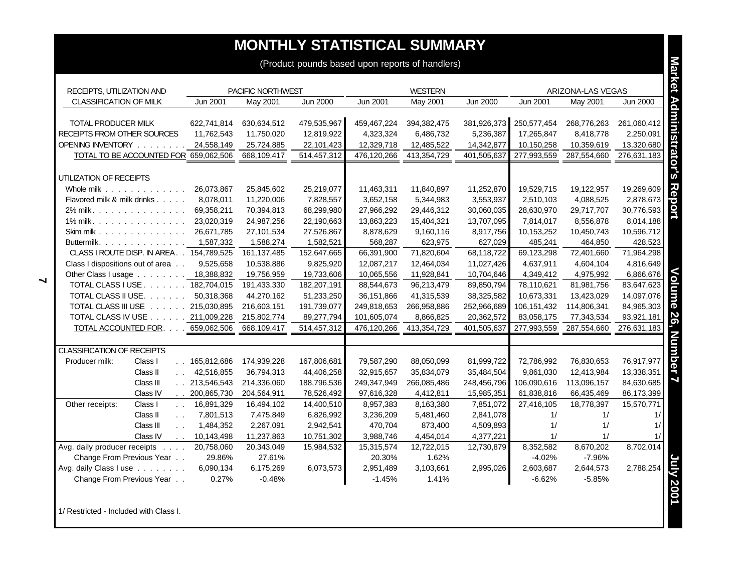## **MONTHLY STATISTICAL SUMMARY**

| <b>MUNIFILI SIAIISIIUAL SUMMARI</b>             |                 |                   |             |             |                |             |             |                   |             |
|-------------------------------------------------|-----------------|-------------------|-------------|-------------|----------------|-------------|-------------|-------------------|-------------|
| (Product pounds based upon reports of handlers) |                 |                   |             |             |                |             |             |                   |             |
|                                                 |                 |                   |             |             |                |             |             |                   |             |
| RECEIPTS, UTILIZATION AND                       |                 | PACIFIC NORTHWEST |             |             | <b>WESTERN</b> |             |             | ARIZONA-LAS VEGAS |             |
| CLASSIFICATION OF MILK                          | Jun 2001        | May 2001          | Jun 2000    | Jun 2001    | May 2001       | Jun 2000    | Jun 2001    | May 2001          | Jun 2000    |
|                                                 |                 |                   |             |             |                |             |             |                   |             |
| TOTAL PRODUCER MILK                             | 622,741,814     | 630,634,512       | 479,535,967 | 459,467,224 | 394,382,475    | 381,926,373 | 250,577,454 | 268,776,263       | 261,060,412 |
| RECEIPTS FROM OTHER SOURCES                     | 11,762,543      | 11,750,020        | 12,819,922  | 4,323,324   | 6,486,732      | 5,236,387   | 17,265,847  | 8,418,778         | 2,250,091   |
| OPENING INVENTORY                               | 24,558,149      | 25,724,885        | 22,101,423  | 12,329,718  | 12,485,522     | 14,342,877  | 10,150,258  | 10,359,619        | 13,320,680  |
| TOTAL TO BE ACCOUNTED FOR 659,062,506           |                 | 668,109,417       | 514,457,312 | 476,120,266 | 413,354,729    | 401,505,637 | 277,993,559 | 287,554,660       | 276,631,183 |
|                                                 |                 |                   |             |             |                |             |             |                   |             |
| UTILIZATION OF RECEIPTS                         |                 |                   |             |             |                |             |             |                   |             |
| Whole milk                                      | 26,073,867      | 25,845,602        | 25,219,077  | 11,463,311  | 11,840,897     | 11,252,870  | 19,529,715  | 19,122,957        | 19,269,609  |
| Flavored milk & milk drinks                     | 8,078,011       | 11,220,006        | 7,828,557   | 3,652,158   | 5,344,983      | 3,553,937   | 2,510,103   | 4,088,525         | 2,878,673   |
| 2% milk.                                        | 69,358,211      | 70,394,813        | 68,299,980  | 27,966,292  | 29,446,312     | 30,060,035  | 28,630,970  | 29,717,707        | 30,776,593  |
| 1% milk.                                        | 23,020,319      | 24,987,256        | 22,190,663  | 13,863,223  | 15,404,321     | 13,707,095  | 7,814,017   | 8,556,878         | 8,014,188   |
| Skim milk                                       | 26,671,785      | 27,101,534        | 27,526,867  | 8,878,629   | 9,160,116      | 8,917,756   | 10,153,252  | 10,450,743        | 10,596,712  |
| Buttermilk.                                     | 1,587,332       | 1,588,274         | 1,582,521   | 568,287     | 623,975        | 627,029     | 485,241     | 464,850           | 428,523     |
| CLASS I ROUTE DISP. IN AREA. . 154,789,525      |                 | 161,137,485       | 152,647,665 | 66,391,900  | 71,820,604     | 68,118,722  | 69,123,298  | 72,401,660        | 71,964,298  |
| Class I dispositions out of area                | 9,525,658       | 10,538,886        | 9,825,920   | 12,087,217  | 12,464,034     | 11,027,426  | 4,637,911   | 4,604,104         | 4,816,649   |
| Other Class I usage 18,388,832                  |                 | 19,756,959        | 19,733,606  | 10,065,556  | 11,928,841     | 10,704,646  | 4,349,412   | 4,975,992         | 6,866,676   |
| TOTAL CLASS I USE 182,704,015                   |                 | 191,433,330       | 182,207,191 | 88,544,673  | 96,213,479     | 89,850,794  | 78,110,621  | 81,981,756        | 83,647,623  |
| TOTAL CLASS II USE.                             | 50,318,368      | 44,270,162        | 51,233,250  | 36,151,866  | 41,315,539     | 38,325,582  | 10,673,331  | 13,423,029        | 14,097,076  |
| TOTAL CLASS III USE 215,030,895                 |                 | 216,603,151       | 191,739,077 | 249,818,653 | 266,958,886    | 252,966,689 | 106,151,432 | 114,806,341       | 84,965,303  |
| TOTAL CLASS IV USE 211,009,228                  |                 | 215,802,774       | 89,277,794  | 101,605,074 | 8,866,825      | 20,362,572  | 83,058,175  | 77,343,534        | 93,921,181  |
| TOTAL ACCOUNTED FOR. 659,062,506                |                 | 668,109,417       | 514,457,312 | 476,120,266 | 413,354,729    | 401,505,637 | 277,993,559 | 287,554,660       | 276,631,183 |
|                                                 |                 |                   |             |             |                |             |             |                   |             |
| <b>CLASSIFICATION OF RECEIPTS</b>               |                 |                   |             |             |                |             |             |                   |             |
| Producer milk:<br>Class I                       | . . 165,812,686 | 174,939,228       | 167,806,681 | 79,587,290  | 88,050,099     | 81,999,722  | 72,786,992  | 76,830,653        | 76,917,977  |
| Class II<br>$\mathbf{L}$                        | 42,516,855      | 36,794,313        | 44,406,258  | 32,915,657  | 35,834,079     | 35,484,504  | 9,861,030   | 12,413,984        | 13,338,351  |
| Class III                                       | . 213,546,543   | 214,336,060       | 188,796,536 | 249,347,949 | 266,085,486    | 248,456,796 | 106,090,616 | 113,096,157       | 84,630,685  |
| Class IV                                        | . 200,865,730   | 204,564,911       | 78,526,492  | 97,616,328  | 4,412,811      | 15,985,351  | 61,838,816  | 66,435,469        | 86,173,399  |
| Other receipts:<br>Class I<br>$\sim 100$        | 16,891,329      | 16,494,102        | 14,400,510  | 8,957,383   | 8,163,380      | 7,851,072   | 27,416,105  | 18,778,397        | 15,570,771  |
| Class II<br>$\sim 10$                           | 7,801,513       | 7,475,849         | 6,826,992   | 3,236,209   | 5,481,460      | 2,841,078   | 1/          | 1/                | 1/          |
| Class III<br>$\sim$ $\sim$                      | 1,484,352       | 2,267,091         | 2,942,541   | 470,704     | 873,400        | 4,509,893   | 1/          | 1/                | 1/          |
| Class IV<br>$\sim 10$                           | 10,143,498      | 11,237,863        | 10,751,302  | 3,988,746   | 4,454,014      | 4,377,221   | 1/          | 1/                | 1/          |
| Avg. daily producer receipts                    | 20,758,060      | 20,343,049        | 15,984,532  | 15,315,574  | 12,722,015     | 12,730,879  | 8,352,582   | 8,670,202         | 8,702,014   |
| Change From Previous Year                       | 29.86%          | 27.61%            |             | 20.30%      | 1.62%          |             | $-4.02%$    | $-7.96%$          |             |
| Avg. daily Class I use                          | 6,090,134       | 6,175,269         | 6,073,573   | 2,951,489   | 3,103,661      | 2,995,026   | 2,603,687   | 2,644,573         | 2,788,254   |
| Change From Previous Year                       | 0.27%           | $-0.48%$          |             | $-1.45%$    | 1.41%          |             | $-6.62%$    | $-5.85%$          |             |
|                                                 |                 |                   |             |             |                |             |             |                   |             |
|                                                 |                 |                   |             |             |                |             |             |                   |             |

1/ Restricted - Included with Class I.

**7**